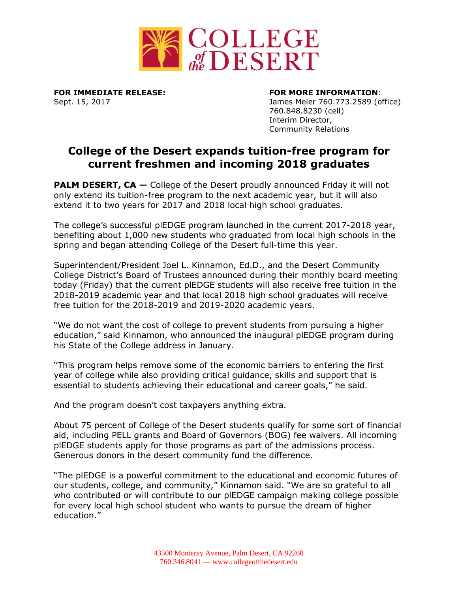

**FOR IMMEDIATE RELEASE: FOR MORE INFORMATION**:

Sept. 15, 2017 James Meier 760.773.2589 (office) 760.848.8230 (cell) Interim Director, Community Relations

## **College of the Desert expands tuition-free program for current freshmen and incoming 2018 graduates**

**PALM DESERT, CA** – College of the Desert proudly announced Friday it will not only extend its tuition-free program to the next academic year, but it will also extend it to two years for 2017 and 2018 local high school graduates.

The college's successful plEDGE program launched in the current 2017-2018 year, benefiting about 1,000 new students who graduated from local high schools in the spring and began attending College of the Desert full-time this year.

Superintendent/President Joel L. Kinnamon, Ed.D., and the Desert Community College District's Board of Trustees announced during their monthly board meeting today (Friday) that the current plEDGE students will also receive free tuition in the 2018-2019 academic year and that local 2018 high school graduates will receive free tuition for the 2018-2019 and 2019-2020 academic years.

"We do not want the cost of college to prevent students from pursuing a higher education," said Kinnamon, who announced the inaugural plEDGE program during his State of the College address in January.

"This program helps remove some of the economic barriers to entering the first year of college while also providing critical guidance, skills and support that is essential to students achieving their educational and career goals," he said.

And the program doesn't cost taxpayers anything extra.

About 75 percent of College of the Desert students qualify for some sort of financial aid, including PELL grants and Board of Governors (BOG) fee waivers. All incoming plEDGE students apply for those programs as part of the admissions process. Generous donors in the desert community fund the difference.

"The plEDGE is a powerful commitment to the educational and economic futures of our students, college, and community," Kinnamon said. "We are so grateful to all who contributed or will contribute to our plEDGE campaign making college possible for every local high school student who wants to pursue the dream of higher education."